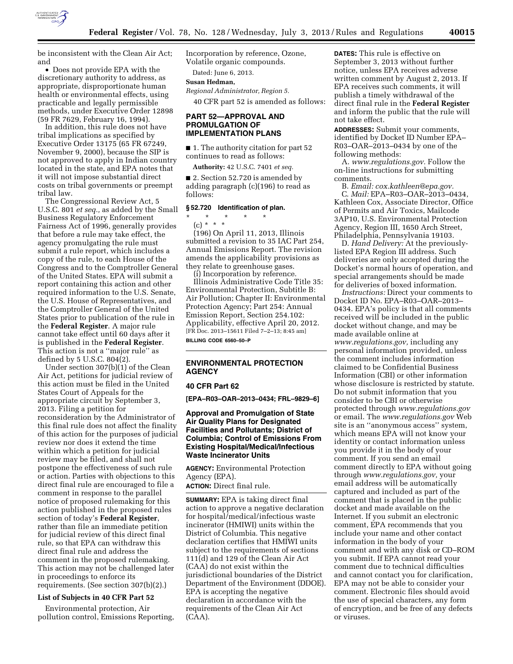

be inconsistent with the Clean Air Act; and

• Does not provide EPA with the discretionary authority to address, as appropriate, disproportionate human health or environmental effects, using practicable and legally permissible methods, under Executive Order 12898 (59 FR 7629, February 16, 1994).

In addition, this rule does not have tribal implications as specified by Executive Order 13175 (65 FR 67249, November 9, 2000), because the SIP is not approved to apply in Indian country located in the state, and EPA notes that it will not impose substantial direct costs on tribal governments or preempt tribal law.

The Congressional Review Act, 5 U.S.C. 801 *et seq.,* as added by the Small Business Regulatory Enforcement Fairness Act of 1996, generally provides that before a rule may take effect, the agency promulgating the rule must submit a rule report, which includes a copy of the rule, to each House of the Congress and to the Comptroller General of the United States. EPA will submit a report containing this action and other required information to the U.S. Senate, the U.S. House of Representatives, and the Comptroller General of the United States prior to publication of the rule in the **Federal Register**. A major rule cannot take effect until 60 days after it is published in the **Federal Register**. This action is not a ''major rule'' as defined by 5 U.S.C. 804(2).

Under section 307(b)(1) of the Clean Air Act, petitions for judicial review of this action must be filed in the United States Court of Appeals for the appropriate circuit by September 3, 2013. Filing a petition for reconsideration by the Administrator of this final rule does not affect the finality of this action for the purposes of judicial review nor does it extend the time within which a petition for judicial review may be filed, and shall not postpone the effectiveness of such rule or action. Parties with objections to this direct final rule are encouraged to file a comment in response to the parallel notice of proposed rulemaking for this action published in the proposed rules section of today's **Federal Register**, rather than file an immediate petition for judicial review of this direct final rule, so that EPA can withdraw this direct final rule and address the comment in the proposed rulemaking. This action may not be challenged later in proceedings to enforce its requirements. (See section 307(b)(2).)

## **List of Subjects in 40 CFR Part 52**

Environmental protection, Air pollution control, Emissions Reporting, Incorporation by reference, Ozone, Volatile organic compounds.

Dated: June 6, 2013.

# **Susan Hedman,**

*Regional Administrator, Region 5.* 

40 CFR part 52 is amended as follows:

## **PART 52—APPROVAL AND PROMULGATION OF IMPLEMENTATION PLANS**

■ 1. The authority citation for part 52 continues to read as follows:

**Authority:** 42 U.S.C. 7401 *et seq.* 

■ 2. Section 52.720 is amended by adding paragraph (c)(196) to read as follows:

#### **§ 52.720 Identification of plan.**

## \* \* \* \* \*

(c) \* \* \* (196) On April 11, 2013, Illinois submitted a revision to 35 IAC Part 254, Annual Emissions Report. The revision amends the applicability provisions as they relate to greenhouse gases.

(i) Incorporation by reference. Illinois Administrative Code Title 35: Environmental Protection, Subtitle B: Air Pollution; Chapter II: Environmental Protection Agency; Part 254: Annual Emission Report, Section 254.102: Applicability, effective April 20, 2012. [FR Doc. 2013–15611 Filed 7–2–13; 8:45 am] **BILLING CODE 6560–50–P** 

## **ENVIRONMENTAL PROTECTION AGENCY**

#### **40 CFR Part 62**

**[EPA–R03–OAR–2013–0434; FRL–9829–6]** 

## **Approval and Promulgation of State Air Quality Plans for Designated Facilities and Pollutants; District of Columbia; Control of Emissions From Existing Hospital/Medical/Infectious Waste Incinerator Units**

**AGENCY:** Environmental Protection Agency (EPA).

**ACTION:** Direct final rule.

**SUMMARY:** EPA is taking direct final action to approve a negative declaration for hospital/medical/infectious waste incinerator (HMIWI) units within the District of Columbia. This negative declaration certifies that HMIWI units subject to the requirements of sections 111(d) and 129 of the Clean Air Act (CAA) do not exist within the jurisdictional boundaries of the District Department of the Environment (DDOE). EPA is accepting the negative declaration in accordance with the requirements of the Clean Air Act (CAA).

**DATES:** This rule is effective on September 3, 2013 without further notice, unless EPA receives adverse written comment by August 2, 2013. If EPA receives such comments, it will publish a timely withdrawal of the direct final rule in the **Federal Register**  and inform the public that the rule will not take effect.

**ADDRESSES:** Submit your comments, identified by Docket ID Number EPA– R03–OAR–2013–0434 by one of the following methods:

A. *[www.regulations.gov.](http://www.regulations.gov)* Follow the on-line instructions for submitting comments.

B. *Email: [cox.kathleen@epa.gov.](mailto:cox.kathleen@epa.gov)*  C. *Mail:* EPA–R03–OAR–2013–0434, Kathleen Cox, Associate Director, Office of Permits and Air Toxics, Mailcode 3AP10, U.S. Environmental Protection Agency, Region III, 1650 Arch Street, Philadelphia, Pennsylvania 19103.

D. *Hand Delivery:* At the previouslylisted EPA Region III address. Such deliveries are only accepted during the Docket's normal hours of operation, and special arrangements should be made for deliveries of boxed information.

*Instructions:* Direct your comments to Docket ID No. EPA–R03–OAR–2013– 0434. EPA's policy is that all comments received will be included in the public docket without change, and may be made available online at *[www.regulations.gov,](http://www.regulations.gov)* including any personal information provided, unless the comment includes information claimed to be Confidential Business Information (CBI) or other information whose disclosure is restricted by statute. Do not submit information that you consider to be CBI or otherwise protected through *[www.regulations.gov](http://www.regulations.gov)*  or email. The *[www.regulations.gov](http://www.regulations.gov)* Web site is an ''anonymous access'' system, which means EPA will not know your identity or contact information unless you provide it in the body of your comment. If you send an email comment directly to EPA without going through *[www.regulations.gov,](http://www.regulations.gov)* your email address will be automatically captured and included as part of the comment that is placed in the public docket and made available on the Internet. If you submit an electronic comment, EPA recommends that you include your name and other contact information in the body of your comment and with any disk or CD–ROM you submit. If EPA cannot read your comment due to technical difficulties and cannot contact you for clarification, EPA may not be able to consider your comment. Electronic files should avoid the use of special characters, any form of encryption, and be free of any defects or viruses.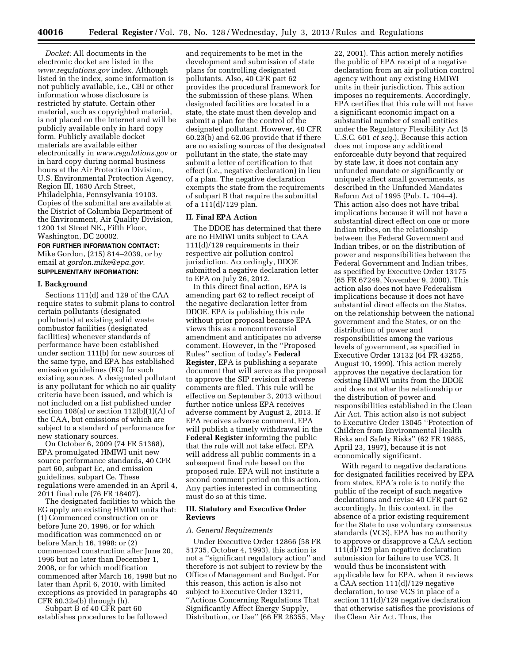*Docket:* All documents in the electronic docket are listed in the *[www.regulations.gov](http://www.regulations.gov)* index. Although listed in the index, some information is not publicly available, i.e., CBI or other information whose disclosure is restricted by statute. Certain other material, such as copyrighted material, is not placed on the Internet and will be publicly available only in hard copy form. Publicly available docket materials are available either electronically in *[www.regulations.gov](http://www.regulations.gov)* or in hard copy during normal business hours at the Air Protection Division, U.S. Environmental Protection Agency, Region III, 1650 Arch Street, Philadelphia, Pennsylvania 19103. Copies of the submittal are available at the District of Columbia Department of the Environment, Air Quality Division, 1200 1st Street NE., Fifth Floor, Washington, DC 20002.

#### **FOR FURTHER INFORMATION CONTACT:**

Mike Gordon, (215) 814–2039, or by email at *[gordon.mike@epa.gov.](mailto:gordon.mike@epa.gov)*  **SUPPLEMENTARY INFORMATION:** 

# **I. Background**

Sections 111(d) and 129 of the CAA require states to submit plans to control certain pollutants (designated pollutants) at existing solid waste combustor facilities (designated facilities) whenever standards of performance have been established under section 111(b) for new sources of the same type, and EPA has established emission guidelines (EG) for such existing sources. A designated pollutant is any pollutant for which no air quality criteria have been issued, and which is not included on a list published under section 108(a) or section  $112(b)(1)(A)$  of the CAA, but emissions of which are subject to a standard of performance for new stationary sources.

On October 6, 2009 (74 FR 51368), EPA promulgated HMIWI unit new source performance standards, 40 CFR part 60, subpart Ec, and emission guidelines, subpart Ce. These regulations were amended in an April 4, 2011 final rule (76 FR 18407).

The designated facilities to which the EG apply are existing HMIWI units that: (1) Commenced construction on or before June 20, 1996, or for which modification was commenced on or before March 16, 1998; or (2) commenced construction after June 20, 1996 but no later than December 1, 2008, or for which modification commenced after March 16, 1998 but no later than April 6, 2010, with limited exceptions as provided in paragraphs 40 CFR 60.32e(b) through (h).

Subpart B of 40 CFR part 60 establishes procedures to be followed

and requirements to be met in the development and submission of state plans for controlling designated pollutants. Also, 40 CFR part 62 provides the procedural framework for the submission of these plans. When designated facilities are located in a state, the state must then develop and submit a plan for the control of the designated pollutant. However, 40 CFR 60.23(b) and 62.06 provide that if there are no existing sources of the designated pollutant in the state, the state may submit a letter of certification to that effect (i.e., negative declaration) in lieu of a plan. The negative declaration exempts the state from the requirements of subpart B that require the submittal of a 111(d)/129 plan.

#### **II. Final EPA Action**

The DDOE has determined that there are no HMIWI units subject to CAA 111(d)/129 requirements in their respective air pollution control jurisdiction. Accordingly, DDOE submitted a negative declaration letter to EPA on July 26, 2012.

In this direct final action, EPA is amending part 62 to reflect receipt of the negative declaration letter from DDOE. EPA is publishing this rule without prior proposal because EPA views this as a noncontroversial amendment and anticipates no adverse comment. However, in the ''Proposed Rules'' section of today's **Federal Register**, EPA is publishing a separate document that will serve as the proposal to approve the SIP revision if adverse comments are filed. This rule will be effective on September 3, 2013 without further notice unless EPA receives adverse comment by August 2, 2013. If EPA receives adverse comment, EPA will publish a timely withdrawal in the **Federal Register** informing the public that the rule will not take effect. EPA will address all public comments in a subsequent final rule based on the proposed rule. EPA will not institute a second comment period on this action. Any parties interested in commenting must do so at this time.

## **III. Statutory and Executive Order Reviews**

### *A. General Requirements*

Under Executive Order 12866 (58 FR 51735, October 4, 1993), this action is not a ''significant regulatory action'' and therefore is not subject to review by the Office of Management and Budget. For this reason, this action is also not subject to Executive Order 13211, ''Actions Concerning Regulations That Significantly Affect Energy Supply, Distribution, or Use'' (66 FR 28355, May

22, 2001). This action merely notifies the public of EPA receipt of a negative declaration from an air pollution control agency without any existing HMIWI units in their jurisdiction. This action imposes no requirements. Accordingly, EPA certifies that this rule will not have a significant economic impact on a substantial number of small entities under the Regulatory Flexibility Act (5 U.S.C. 601 *et seq.*). Because this action does not impose any additional enforceable duty beyond that required by state law, it does not contain any unfunded mandate or significantly or uniquely affect small governments, as described in the Unfunded Mandates Reform Act of 1995 (Pub. L. 104–4). This action also does not have tribal implications because it will not have a substantial direct effect on one or more Indian tribes, on the relationship between the Federal Government and Indian tribes, or on the distribution of power and responsibilities between the Federal Government and Indian tribes, as specified by Executive Order 13175 (65 FR 67249, November 9, 2000). This action also does not have Federalism implications because it does not have substantial direct effects on the States, on the relationship between the national government and the States, or on the distribution of power and responsibilities among the various levels of government, as specified in Executive Order 13132 (64 FR 43255, August 10, 1999). This action merely approves the negative declaration for existing HMIWI units from the DDOE and does not alter the relationship or the distribution of power and responsibilities established in the Clean Air Act. This action also is not subject to Executive Order 13045 ''Protection of Children from Environmental Health Risks and Safety Risks'' (62 FR 19885, April 23, 1997), because it is not economically significant.

With regard to negative declarations for designated facilities received by EPA from states, EPA's role is to notify the public of the receipt of such negative declarations and revise 40 CFR part 62 accordingly. In this context, in the absence of a prior existing requirement for the State to use voluntary consensus standards (VCS), EPA has no authority to approve or disapprove a CAA section 111(d)/129 plan negative declaration submission for failure to use VCS. It would thus be inconsistent with applicable law for EPA, when it reviews a CAA section 111(d)/129 negative declaration, to use VCS in place of a section 111(d)/129 negative declaration that otherwise satisfies the provisions of the Clean Air Act. Thus, the